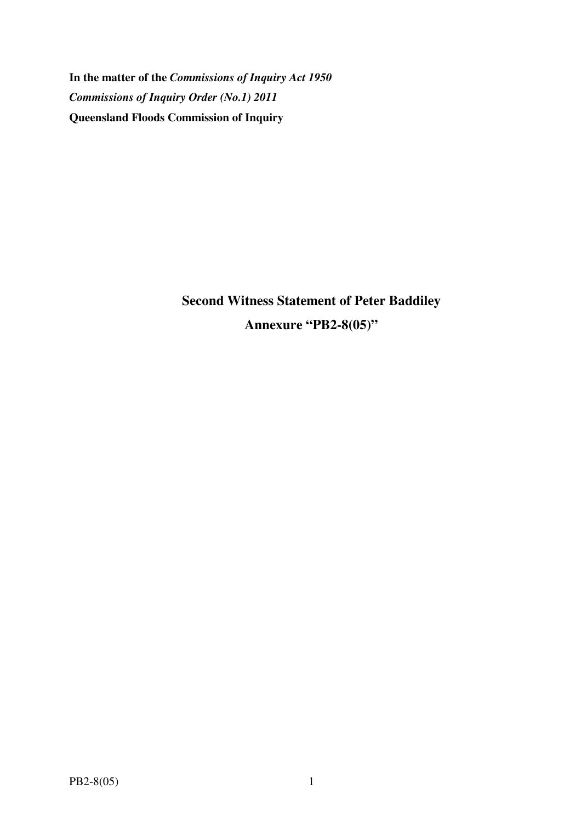**In the matter of the** *Commissions of Inquiry Act 1950 Commissions of Inquiry Order (No.1) 2011* **Queensland Floods Commission of Inquiry** 

> **Second Witness Statement of Peter Baddiley Annexure "PB2-8(05)"**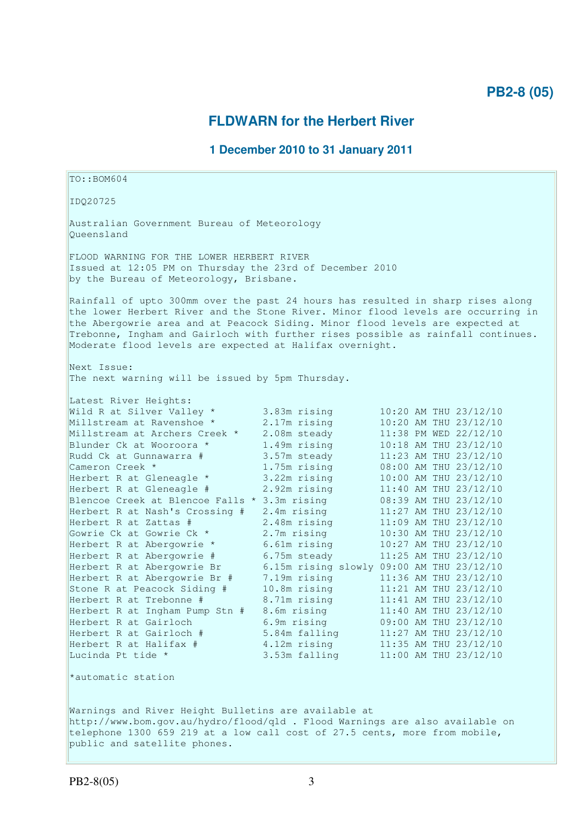# **PB2-8 (05)**

# **FLDWARN for the Herbert River**

## **1 December 2010 to 31 January 2011**

TO::BOM604 IDQ20725 Australian Government Bureau of Meteorology Queensland FLOOD WARNING FOR THE LOWER HERBERT RIVER Issued at 12:05 PM on Thursday the 23rd of December 2010 by the Bureau of Meteorology, Brisbane. Rainfall of upto 300mm over the past 24 hours has resulted in sharp rises along the lower Herbert River and the Stone River. Minor flood levels are occurring in the Abergowrie area and at Peacock Siding. Minor flood levels are expected at Trebonne, Ingham and Gairloch with further rises possible as rainfall continues. Moderate flood levels are expected at Halifax overnight. Next Issue: The next warning will be issued by 5pm Thursday. Latest River Heights: Wild R at Silver Valley  $*$  3.83m rising 10:20 AM THU 23/12/10 Millstream at Ravenshoe \* 2.17m rising 10:20 AM THU 23/12/10 Millstream at Archers Creek \* 2.08m steady 11:38 PM WED 22/12/10 Blunder Ck at Wooroora \* 1.49m rising 10:18 AM THU 23/12/10 Rudd Ck at Gunnawarra # 3.57m steady 11:23 AM THU 23/12/10 Cameron Creek \* 1.75m rising 08:00 AM THU 23/12/10 Herbert R at Gleneagle \* 3.22m rising 10:00 AM THU 23/12/10 Herbert R at Gleneagle # 2.92m rising 11:40 AM THU 23/12/10 Blencoe Creek at Blencoe Falls \* 3.3m rising 08:39 AM THU 23/12/10 Herbert R at Nash's Crossing # 2.4m rising 11:27 AM THU 23/12/10 Herbert R at Zattas # 2.48m rising 11:09 AM THU 23/12/10 Gowrie Ck at Gowrie Ck \* 2.7m rising 10:30 AM THU 23/12/10 Herbert R at Abergowrie \* 6.61m rising 10:27 AM THU 23/12/10 Herbert R at Abergowrie # 6.75m steady 11:25 AM THU 23/12/10 Herbert R at Abergowrie Br 6.15m rising slowly 09:00 AM THU 23/12/10 Herbert R at Abergowrie Br # 7.19m rising 11:36 AM THU 23/12/10 Stone R at Peacock Siding # 10.8m rising 11:21 AM THU 23/12/10 Herbert R at Trebonne # 8.71m rising 11:41 AM THU 23/12/10 Herbert R at Ingham Pump Stn # 8.6m rising 11:40 AM THU 23/12/10 Herbert R at Gairloch 6.9m rising 09:00 AM THU 23/12/10 Herbert R at Gairloch # 5.84m falling 11:27 AM THU 23/12/10 Herbert R at Halifax # 4.12m rising 11:35 AM THU 23/12/10 Lucinda Pt tide \* 3.53m falling 11:00 AM THU 23/12/10 \*automatic station Warnings and River Height Bulletins are available at http://www.bom.gov.au/hydro/flood/qld . Flood Warnings are also available on telephone 1300 659 219 at a low call cost of 27.5 cents, more from mobile, public and satellite phones.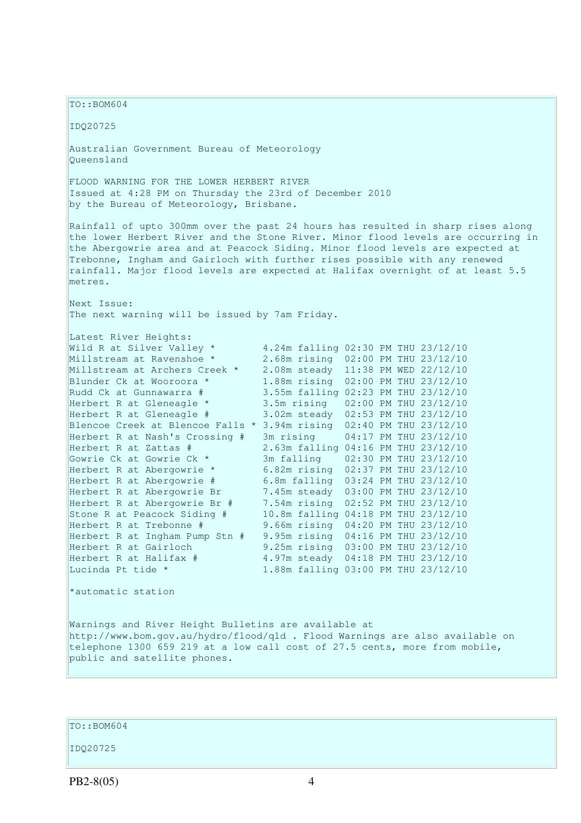TO::BOM604 IDQ20725 Australian Government Bureau of Meteorology Queensland FLOOD WARNING FOR THE LOWER HERBERT RIVER Issued at 4:28 PM on Thursday the 23rd of December 2010 by the Bureau of Meteorology, Brisbane. Rainfall of upto 300mm over the past 24 hours has resulted in sharp rises along the lower Herbert River and the Stone River. Minor flood levels are occurring in the Abergowrie area and at Peacock Siding. Minor flood levels are expected at Trebonne, Ingham and Gairloch with further rises possible with any renewed rainfall. Major flood levels are expected at Halifax overnight of at least 5.5 metres. Next Issue: The next warning will be issued by 7am Friday. Latest River Heights: Wild R at Silver Valley \* 4.24m falling 02:30 PM THU 23/12/10<br>Millstream at Ravenshoe \* 2.68m rising 02:00 PM THU 23/12/10 2.68m rising 02:00 PM THU 23/12/10 Millstream at Archers Creek \* 2.08m steady 11:38 PM WED 22/12/10<br>Blunder Ck at Wooroora \* 1.88m rising 02:00 PM THU 23/12/10 1.88m rising 02:00 PM THU 23/12/10 Rudd Ck at Gunnawarra  $#$  3.55m falling 02:23 PM THU 23/12/10 Herbert R at Gleneagle \* 3.5m rising 02:00 PM THU 23/12/10 Herbert R at Gleneagle # 3.02m steady 02:53 PM THU 23/12/10 Blencoe Creek at Blencoe Falls \* 3.94m rising 02:40 PM THU 23/12/10 Herbert R at Nash's Crossing # 3m rising 04:17 PM THU 23/12/10 Herbert R at Zattas # 2.63m falling 04:16 PM THU 23/12/10 Gowrie Ck at Gowrie Ck \* 3m falling 02:30 PM THU 23/12/10 Herbert R at Abergowrie \* 6.82m rising 02:37 PM THU 23/12/10 Herbert R at Abergowrie # 6.8m falling 03:24 PM THU 23/12/10 Herbert R at Abergowrie Br 7.45m steady 03:00 PM THU 23/12/10 Herbert R at Abergowrie Br # 7.54m rising 02:52 PM THU 23/12/10<br>Stone R at Peacock Siding # 10.8m falling 04:18 PM THU 23/12/10 10.8m falling 04:18 PM THU 23/12/10 Herbert R at Trebonne # 9.66m rising 04:20 PM THU 23/12/10 Herbert R at Ingham Pump Stn # 9.95m rising 04:16 PM THU 23/12/10 Herbert R at Gairloch 9.25m rising 03:00 PM THU 23/12/10 Herbert R at Halifax  $\#$  4.97m steady 04:18 PM THU 23/12/10 Lucinda Pt tide \* 1.88m falling 03:00 PM THU 23/12/10 \*automatic station Warnings and River Height Bulletins are available at http://www.bom.gov.au/hydro/flood/qld . Flood Warnings are also available on

TO::BOM604

public and satellite phones.

IDQ20725

PB2-8(05) 4

telephone 1300 659 219 at a low call cost of 27.5 cents, more from mobile,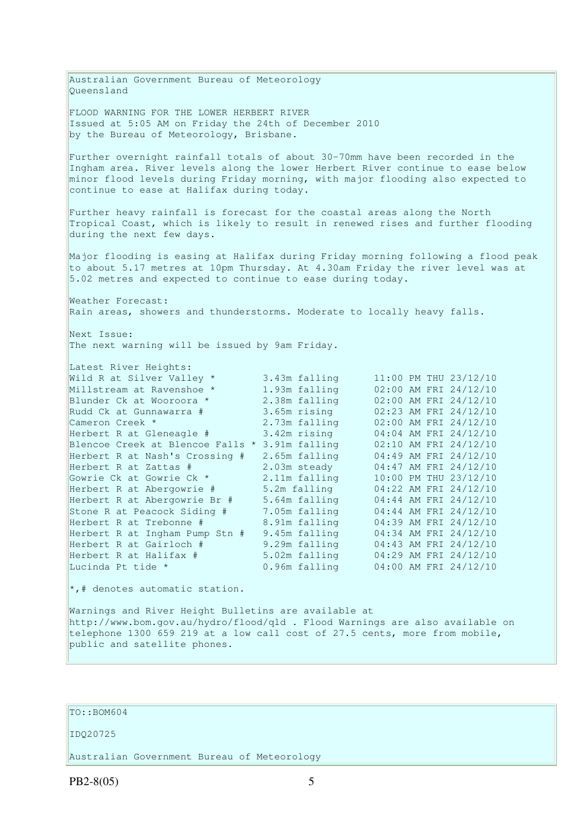Australian Government Bureau of Meteorology Queensland FLOOD WARNING FOR THE LOWER HERBERT RIVER Issued at 5:05 AM on Friday the 24th of December 2010 by the Bureau of Meteorology, Brisbane. Further overnight rainfall totals of about 30-70mm have been recorded in the Ingham area. River levels along the lower Herbert River continue to ease below minor flood levels during Friday morning, with major flooding also expected to continue to ease at Halifax during today. Further heavy rainfall is forecast for the coastal areas along the North Tropical Coast, which is likely to result in renewed rises and further flooding during the next few days. Major flooding is easing at Halifax during Friday morning following a flood peak to about 5.17 metres at 10pm Thursday. At 4.30am Friday the river level was at 5.02 metres and expected to continue to ease during today. Weather Forecast: Rain areas, showers and thunderstorms. Moderate to locally heavy falls. Next Issue: The next warning will be issued by 9am Friday. Latest River Heights: Wild R at Silver Valley \* 3.43m falling 11:00 PM THU 23/12/10 Millstream at Ravenshoe \* 1.93m falling 02:00 AM FRI 24/12/10 Blunder Ck at Wooroora \* 2.38m falling 02:00 AM FRI 24/12/10 Rudd Ck at Gunnawarra # 3.65m rising 02:23 AM FRI 24/12/10 Cameron Creek \* 2.73m falling 02:00 AM FRI 24/12/10 Herbert R at Gleneagle # 3.42m rising 04:04 AM FRI 24/12/10 Blencoe Creek at Blencoe Falls \* 3.91m falling 02:10 AM FRI 24/12/10 Herbert R at Nash's Crossing # 2.65m falling 04:49 AM FRI 24/12/10 Herbert R at Zattas # 2.03m steady 04:47 AM FRI 24/12/10 Gowrie Ck at Gowrie Ck \* 2.11m falling 10:00 PM THU 23/12/10 Herbert R at Abergowrie # 5.2m falling 04:22 AM FRI 24/12/10 Herbert R at Abergowrie Br # 5.64m falling 04:44 AM FRI 24/12/10 Stone R at Peacock Siding # 7.05m falling 04:44 AM FRI 24/12/10 Herbert R at Trebonne # 8.91m falling 04:39 AM FRI 24/12/10 Herbert R at Ingham Pump Stn # 9.45m falling 04:34 AM FRI 24/12/10 Herbert R at Gairloch # 9.29m falling 04:43 AM FRI 24/12/10 Herbert R at Halifax # 5.02m falling 04:29 AM FRI 24/12/10 Lucinda Pt tide \* 0.96m falling 04:00 AM FRI 24/12/10  $\star$ ,# denotes automatic station.

Warnings and River Height Bulletins are available at http://www.bom.gov.au/hydro/flood/qld . Flood Warnings are also available on telephone 1300 659 219 at a low call cost of 27.5 cents, more from mobile, public and satellite phones.

### TO::BOM604

#### IDQ20725

Australian Government Bureau of Meteorology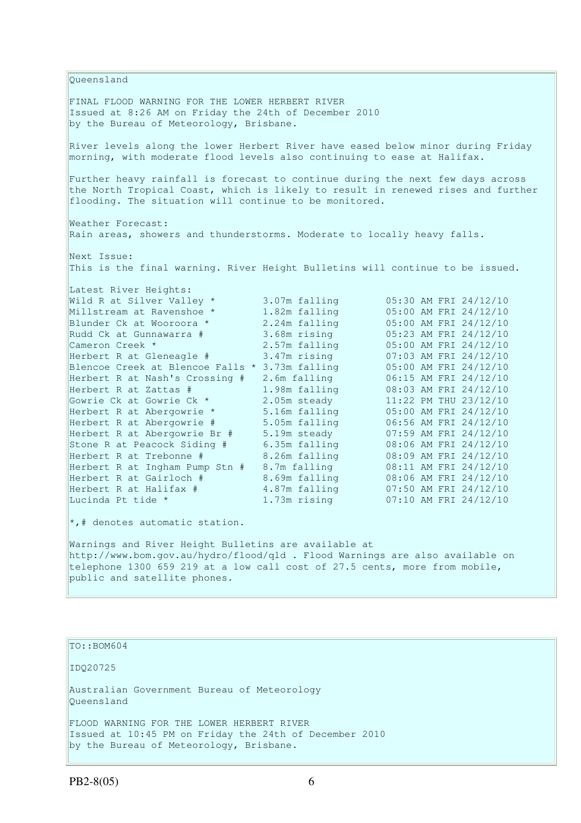Queensland FINAL FLOOD WARNING FOR THE LOWER HERBERT RIVER Issued at 8:26 AM on Friday the 24th of December 2010 by the Bureau of Meteorology, Brisbane. River levels along the lower Herbert River have eased below minor during Friday morning, with moderate flood levels also continuing to ease at Halifax. Further heavy rainfall is forecast to continue during the next few days across the North Tropical Coast, which is likely to result in renewed rises and further flooding. The situation will continue to be monitored. Weather Forecast: Rain areas, showers and thunderstorms. Moderate to locally heavy falls. Next Issue: This is the final warning. River Height Bulletins will continue to be issued. Latest River Heights: Wild R at Silver Valley \* 3.07m falling 05:30 AM FRI 24/12/10 Millstream at Ravenshoe \* 1.82m falling 05:00 AM FRI 24/12/10 Wild R at Silver Valley \* 3.07m falling<br>Millstream at Ravenshoe \* 1.82m falling<br>Blunder Ck at Wooroora \* 2.24m falling Rudd Ck at Gunnawarra # 3.68m rising 05:23 AM FRI 24/12/10<br>
Cameron Creek \* 2.57m falling 05:00 AM FRI 24/12/10 Cameron Creek \* 2.57m falling 05:00 AM FRI 24/12/10 Herbert R at Gleneagle # 3.47m rising 07:03 AM FRI 24/12/10 Blencoe Creek at Blencoe Falls \* 3.73m falling 05:00 AM FRI 24/12/10 Herbert R at Nash's Crossing # 2.6m falling 06:15 AM FRI 24/12/10 Herbert R at Zattas # 1.98m falling 08:03 AM FRI 24/12/10 Gowrie Ck at Gowrie Ck \* 2.05m steady 11:22 PM THU 23/12/10 Herbert R at Abergowrie \* 5.16m falling 05:00 AM FRI 24/12/10 Herbert R at Abergowrie # 5.05m falling 06:56 AM FRI 24/12/10 Herbert R at Abergowrie Br # 5.19m steady 07:59 AM FRI 24/12/10 Stone R at Peacock Siding # 6.35m falling 08:06 AM FRI 24/12/10 Herbert R at Trebonne # 8.26m falling 08:09 AM FRI 24/12/10 Herbert R at Ingham Pump Stn # 8.7m falling 08:11 AM FRI 24/12/10 Herbert R at Trebonne # 8.26m falling 08:09 AM FRI 24/12/10<br>
Herbert R at Gairloch # 8.7m falling 08:11 AM FRI 24/12/10<br>
Herbert R at Halifax # 4.87m falling 07:50 AM FRI 24/12/10<br>  $\begin{array}{r} 0.69 \text{ m} \\ 0.69 \text{ m} \\ 0.69 \text{ m} \\$ Herbert R at Halifax # 4.87m falling 07:50 AM FRI 24/12/10<br>Lucinda Pt tide \* 1.73m rising 07:10 AM FRI 24/12/10  $07:10$  AM FRI 24/12/10 \*,# denotes automatic station. Warnings and River Height Bulletins are available at

http://www.bom.gov.au/hydro/flood/qld . Flood Warnings are also available on telephone 1300 659 219 at a low call cost of 27.5 cents, more from mobile, public and satellite phones.

TO::BOM604 IDQ20725 Australian Government Bureau of Meteorology Queensland FLOOD WARNING FOR THE LOWER HERBERT RIVER Issued at 10:45 PM on Friday the 24th of December 2010 by the Bureau of Meteorology, Brisbane.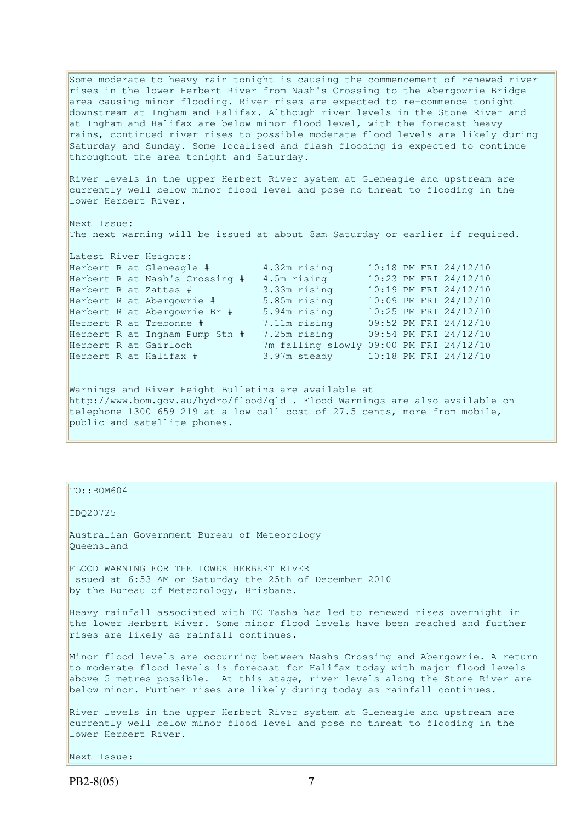Some moderate to heavy rain tonight is causing the commencement of renewed river rises in the lower Herbert River from Nash's Crossing to the Abergowrie Bridge area causing minor flooding. River rises are expected to re-commence tonight downstream at Ingham and Halifax. Although river levels in the Stone River and at Ingham and Halifax are below minor flood level, with the forecast heavy rains, continued river rises to possible moderate flood levels are likely during Saturday and Sunday. Some localised and flash flooding is expected to continue throughout the area tonight and Saturday.

River levels in the upper Herbert River system at Gleneagle and upstream are currently well below minor flood level and pose no threat to flooding in the lower Herbert River.

Next Issue: The next warning will be issued at about 8am Saturday or earlier if required.

|  | Herbert R at Gleneagle #       | 4.32m rising                            |  | 10:18 PM FRI 24/12/10 |
|--|--------------------------------|-----------------------------------------|--|-----------------------|
|  | Herbert R at Nash's Crossing # | 4.5m rising                             |  | 10:23 PM FRI 24/12/10 |
|  | Herbert R at Zattas #          | 3.33m rising                            |  | 10:19 PM FRI 24/12/10 |
|  | Herbert R at Abergowrie #      | 5.85m rising                            |  | 10:09 PM FRI 24/12/10 |
|  | Herbert R at Abergowrie Br #   | 5.94m rising                            |  | 10:25 PM FRI 24/12/10 |
|  | Herbert R at Trebonne #        | 7.11m rising                            |  | 09:52 PM FRI 24/12/10 |
|  | Herbert R at Ingham Pump Stn # | 7.25m rising                            |  | 09:54 PM FRI 24/12/10 |
|  | Herbert R at Gairloch          | 7m falling slowly 09:00 PM FRI 24/12/10 |  |                       |
|  | Herbert R at Halifax #         | 3.97m steady                            |  | 10:18 PM FRI 24/12/10 |

Warnings and River Height Bulletins are available at http://www.bom.gov.au/hydro/flood/qld . Flood Warnings are also available on telephone 1300 659 219 at a low call cost of 27.5 cents, more from mobile, public and satellite phones.

TO::BOM604

Latest River Heights:

IDQ20725

Australian Government Bureau of Meteorology Queensland

FLOOD WARNING FOR THE LOWER HERBERT RIVER Issued at 6:53 AM on Saturday the 25th of December 2010 by the Bureau of Meteorology, Brisbane.

Heavy rainfall associated with TC Tasha has led to renewed rises overnight in the lower Herbert River. Some minor flood levels have been reached and further rises are likely as rainfall continues.

Minor flood levels are occurring between Nashs Crossing and Abergowrie. A return to moderate flood levels is forecast for Halifax today with major flood levels above 5 metres possible. At this stage, river levels along the Stone River are below minor. Further rises are likely during today as rainfall continues.

River levels in the upper Herbert River system at Gleneagle and upstream are currently well below minor flood level and pose no threat to flooding in the lower Herbert River.

Next Issue: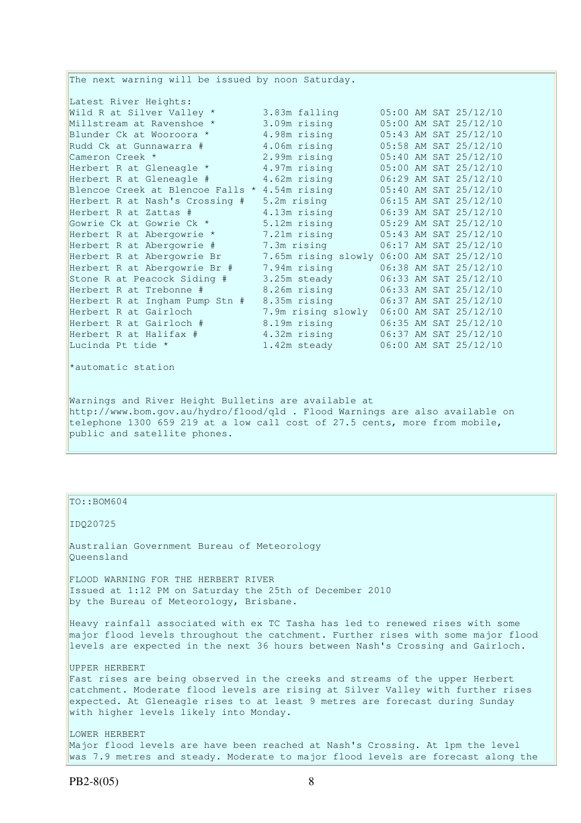The next warning will be issued by noon Saturday. Latest River Heights: Wild R at Silver Valley  $*$  3.83m falling  $05:00$  AM SAT 25/12/10 Millstream at Ravenshoe \* 3.09m rising 05:00 AM SAT 25/12/10 Blunder Ck at Wooroora \* 4.98m rising 05:43 AM SAT 25/12/10 Rudd Ck at Gunnawarra # 4.06m rising 05:58 AM SAT 25/12/10 Cameron Creek \* 2.99m rising 05:40 AM SAT 25/12/10 Herbert R at Gleneagle \* 4.97m rising 05:00 AM SAT 25/12/10 Herbert R at Gleneagle # 4.62m rising 06:29 AM SAT 25/12/10 Blencoe Creek at Blencoe Falls \* 4.54m rising 05:40 AM SAT 25/12/10 Herbert R at Nash's Crossing # 5.2m rising 06:15 AM SAT 25/12/10 Herbert R at Zattas # 4.13m rising 06:39 AM SAT 25/12/10 Gowrie Ck at Gowrie Ck \* 5.12m rising 05:29 AM SAT 25/12/10 Herbert R at Abergowrie \* 7.21m rising 05:43 AM SAT 25/12/10 Herbert R at Abergowrie # 7.3m rising 06:17 AM SAT 25/12/10 Herbert R at Abergowrie Br 7.65m rising slowly 06:00 AM SAT 25/12/10 Herbert R at Abergowrie Br # 7.94m rising 06:38 AM SAT 25/12/10 Stone R at Peacock Siding # 3.25m steady 06:33 AM SAT 25/12/10 Herbert R at Trebonne # 8.26m rising 06:33 AM SAT 25/12/10 Herbert R at Ingham Pump Stn # 8.35m rising 06:37 AM SAT 25/12/10 Herbert R at Gairloch 7.9m rising slowly 06:00 AM SAT 25/12/10 Herbert R at Gairloch # 8.19m rising 06:35 AM SAT 25/12/10 Herbert R at Halifax # 4.32m rising 06:37 AM SAT 25/12/10 Lucinda Pt tide \* 1.42m steady 06:00 AM SAT 25/12/10 \*automatic station

Warnings and River Height Bulletins are available at http://www.bom.gov.au/hydro/flood/qld . Flood Warnings are also available on telephone 1300 659 219 at a low call cost of 27.5 cents, more from mobile, public and satellite phones.

TO::BOM604

IDQ20725

Australian Government Bureau of Meteorology Queensland

FLOOD WARNING FOR THE HERBERT RIVER Issued at 1:12 PM on Saturday the 25th of December 2010 by the Bureau of Meteorology, Brisbane.

Heavy rainfall associated with ex TC Tasha has led to renewed rises with some major flood levels throughout the catchment. Further rises with some major flood levels are expected in the next 36 hours between Nash's Crossing and Gairloch.

UPPER HERBERT Fast rises are being observed in the creeks and streams of the upper Herbert catchment. Moderate flood levels are rising at Silver Valley with further rises expected. At Gleneagle rises to at least 9 metres are forecast during Sunday with higher levels likely into Monday.

LOWER HERBERT Major flood levels are have been reached at Nash's Crossing. At 1pm the level was 7.9 metres and steady. Moderate to major flood levels are forecast along the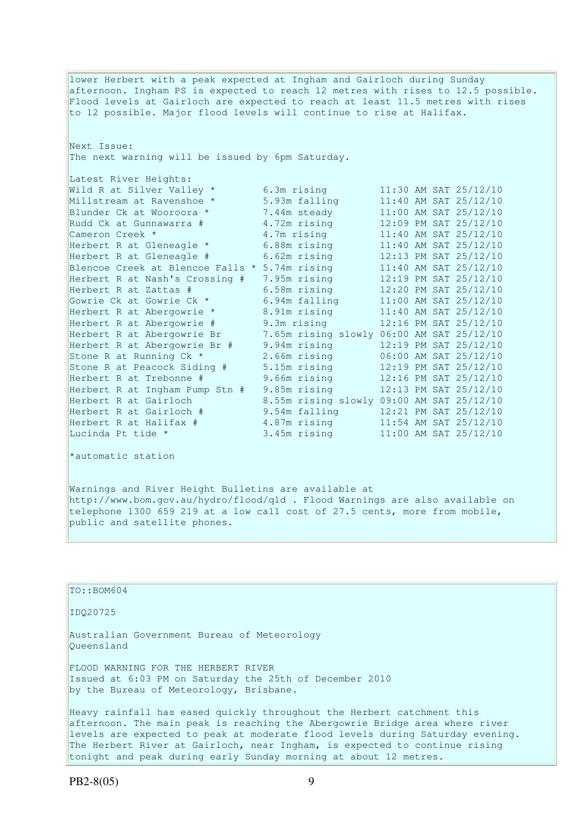lower Herbert with a peak expected at Ingham and Gairloch during Sunday afternoon. Ingham PS is expected to reach 12 metres with rises to 12.5 possible. Flood levels at Gairloch are expected to reach at least 11.5 metres with rises to 12 possible. Major flood levels will continue to rise at Halifax. Next Issue: The next warning will be issued by 6pm Saturday. Latest River Heights: Wild R at Silver Valley \* 6.3m rising 11:30 AM SAT 25/12/10<br>Milstream at Ravenshoe \* 5.93m falling 11:40 AM SAT 25/12/10<br>Blunder Ck at Wooroora \* 7.44m steady 11:00 AM SAT 25/12/10 Millstream at Ravenshoe \* 5.93m falling 11:40 AM SAT 25/12/10 Blunder Ck at Wooroora \* 7.44m steady 11:00 AM SAT 25/12/10 Rudd Ck at Wooroora \* 7.44m steady<br>
Rudd Ck at Gunnawarra # 4.72m rising 12:09 PM SAT 25/12/10<br>
Cameron Creek \* 4.7m rising 11:40 AM SAT 25/12/10 Cameron Creek \* 1.7m rising 11:40 AM SAT 25/12/10 Herbert R at Gleneagle \* 6.88m rising 11:40 AM SAT 25/12/10 Herbert R at Gleneagle # 6.62m rising 12:13 PM SAT 25/12/10 Blencoe Creek at Blencoe Falls  $*$  5.74m rising  $11:40$  AM SAT 25/12/10 Herbert R at Nash's Crossing # 7.95m rising 12:19 PM SAT 25/12/10 Herbert R at Zattas # 6.58m rising 12:20 PM SAT 25/12/10 Gowrie Ck at Gowrie Ck \* 6.94m falling 11:00 AM SAT 25/12/10 Herbert R at Abergowrie \* 8.91m rising 11:40 AM SAT 25/12/10 Herbert R at Abergowrie # 9.3m rising 12:16 PM SAT 25/12/10 Herbert R at Abergowrie Br 7.65m rising slowly 06:00 AM SAT 25/12/10 Herbert R at Abergowrie Br # 9.94m rising 12:19 PM SAT 25/12/10 Stone R at Running Ck \* 2.66m rising 06:00 AM SAT 25/12/10 Stone R at Peacock Siding # 5.15m rising 12:19 PM SAT 25/12/10 Herbert R at Trebonne # 9.66m rising 12:16 PM SAT 25/12/10 Herbert R at Ingham Pump Stn # 9.85m rising 12:13 PM SAT 25/12/10 Herbert R at Gairloch 8.55m rising slowly 09:00 AM SAT 25/12/10 Herbert R at Gairloch # 9.54m falling 12:21 PM SAT 25/12/10 Herbert R at Halifax # 4.87m rising 11:54 AM SAT 25/12/10 Lucinda Pt tide \* 3.45m rising 11:00 AM SAT 25/12/10 \*automatic station

Warnings and River Height Bulletins are available at http://www.bom.gov.au/hydro/flood/qld . Flood Warnings are also available on telephone 1300 659 219 at a low call cost of 27.5 cents, more from mobile, public and satellite phones.

| TO:: BOM604                                                                                                                                                                                                                                                                                                          |
|----------------------------------------------------------------------------------------------------------------------------------------------------------------------------------------------------------------------------------------------------------------------------------------------------------------------|
| ID020725                                                                                                                                                                                                                                                                                                             |
| Australian Government Bureau of Meteorology<br>Oueensland                                                                                                                                                                                                                                                            |
| FLOOD WARNING FOR THE HERBERT RIVER<br>Issued at 6:03 PM on Saturday the 25th of December 2010<br>by the Bureau of Meteorology, Brisbane.                                                                                                                                                                            |
| Heavy rainfall has eased quickly throughout the Herbert catchment this<br>afternoon. The main peak is reaching the Abergowrie Bridge area where river<br>levels are expected to peak at moderate flood levels during Saturday evening.<br>The Herbert River at Gairloch, near Ingham, is expected to continue rising |

tonight and peak during early Sunday morning at about 12 metres.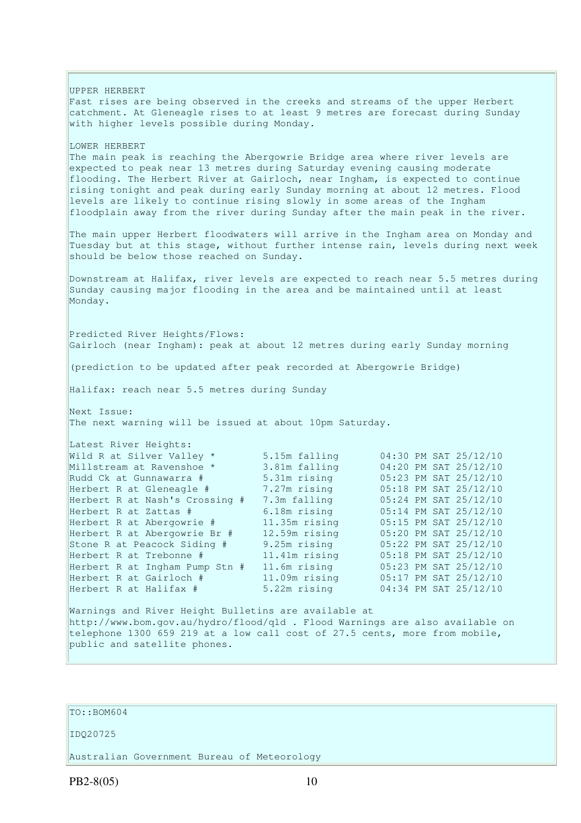UPPER HERBERT Fast rises are being observed in the creeks and streams of the upper Herbert catchment. At Gleneagle rises to at least 9 metres are forecast during Sunday with higher levels possible during Monday. LOWER HERBERT The main peak is reaching the Abergowrie Bridge area where river levels are expected to peak near 13 metres during Saturday evening causing moderate flooding. The Herbert River at Gairloch, near Ingham, is expected to continue rising tonight and peak during early Sunday morning at about 12 metres. Flood levels are likely to continue rising slowly in some areas of the Ingham floodplain away from the river during Sunday after the main peak in the river. The main upper Herbert floodwaters will arrive in the Ingham area on Monday and Tuesday but at this stage, without further intense rain, levels during next week should be below those reached on Sunday. Downstream at Halifax, river levels are expected to reach near 5.5 metres during Sunday causing major flooding in the area and be maintained until at least Monday. Predicted River Heights/Flows: Gairloch (near Ingham): peak at about 12 metres during early Sunday morning (prediction to be updated after peak recorded at Abergowrie Bridge) Halifax: reach near 5.5 metres during Sunday Next Issue: The next warning will be issued at about 10pm Saturday. Latest River Heights: Wild R at Silver Valley  $*$  5.15m falling  $04:30$  PM SAT 25/12/10 Millstream at Ravenshoe \* 3.81m falling 04:20 PM SAT 25/12/10 Rudd Ck at Gunnawarra # 5.31m rising 05:23 PM SAT 25/12/10 Herbert R at Gleneagle # 7.27m rising 05:18 PM SAT 25/12/10 Herbert R at Nash's Crossing # 7.3m falling 05:24 PM SAT 25/12/10 Herbert R at Zattas # 6.18m rising 05:14 PM SAT 25/12/10 Herbert R at Abergowrie # 11.35m rising 05:15 PM SAT 25/12/10 Herbert R at Abergowrie Br # 12.59m rising 05:20 PM SAT 25/12/10 Stone R at Peacock Siding # 9.25m rising 05:22 PM SAT 25/12/10 Herbert R at Trebonne # 11.41m rising 05:18 PM SAT 25/12/10 Herbert R at Ingham Pump Stn # 11.6m rising 05:23 PM SAT 25/12/10 Herbert R at Gairloch # 11.09m rising 05:17 PM SAT 25/12/10 Herbert R at Halifax # 5.22m rising 04:34 PM SAT 25/12/10 Warnings and River Height Bulletins are available at http://www.bom.gov.au/hydro/flood/qld . Flood Warnings are also available on telephone 1300 659 219 at a low call cost of 27.5 cents, more from mobile, public and satellite phones.

## TO::BOM604

### IDQ20725

Australian Government Bureau of Meteorology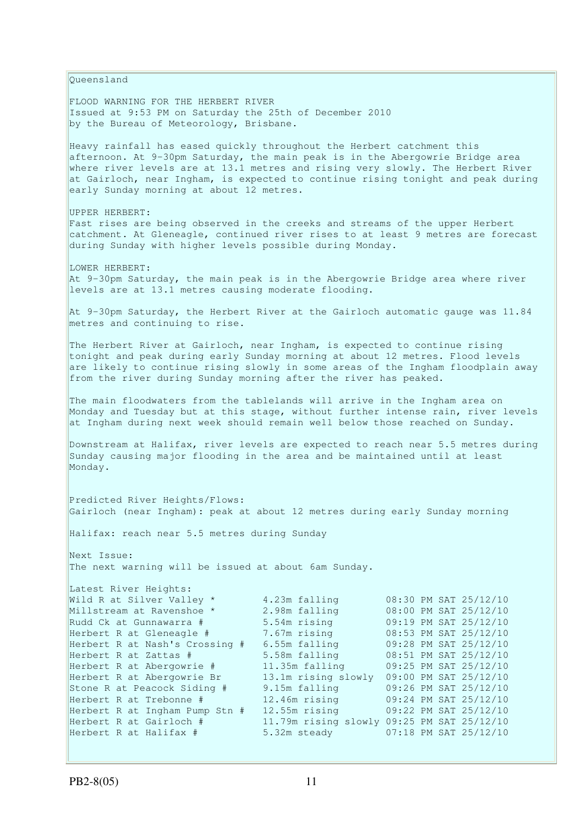Queensland FLOOD WARNING FOR THE HERBERT RIVER Issued at 9:53 PM on Saturday the 25th of December 2010 by the Bureau of Meteorology, Brisbane. Heavy rainfall has eased quickly throughout the Herbert catchment this afternoon. At 9-30pm Saturday, the main peak is in the Abergowrie Bridge area where river levels are at 13.1 metres and rising very slowly. The Herbert River at Gairloch, near Ingham, is expected to continue rising tonight and peak during early Sunday morning at about 12 metres. UPPER HERBERT: Fast rises are being observed in the creeks and streams of the upper Herbert catchment. At Gleneagle, continued river rises to at least 9 metres are forecast during Sunday with higher levels possible during Monday. LOWER HERBERT: At 9-30pm Saturday, the main peak is in the Abergowrie Bridge area where river levels are at 13.1 metres causing moderate flooding. At 9-30pm Saturday, the Herbert River at the Gairloch automatic gauge was 11.84 metres and continuing to rise. The Herbert River at Gairloch, near Ingham, is expected to continue rising tonight and peak during early Sunday morning at about 12 metres. Flood levels are likely to continue rising slowly in some areas of the Ingham floodplain away from the river during Sunday morning after the river has peaked. The main floodwaters from the tablelands will arrive in the Ingham area on Monday and Tuesday but at this stage, without further intense rain, river levels at Ingham during next week should remain well below those reached on Sunday. Downstream at Halifax, river levels are expected to reach near 5.5 metres during Sunday causing major flooding in the area and be maintained until at least Monday. Predicted River Heights/Flows: Gairloch (near Ingham): peak at about 12 metres during early Sunday morning Halifax: reach near 5.5 metres during Sunday Next Issue: The next warning will be issued at about 6am Sunday. Latest River Heights: Wild R at Silver Valley \*  $4.23$ m falling  $08:30$  PM SAT  $25/12/10$ Millstream at Ravenshoe \* 2.98m falling 08:00 PM SAT 25/12/10 Rudd Ck at Gunnawarra # 5.54m rising 09:19 PM SAT 25/12/10 Herbert R at Gleneagle # 7.67m rising 08:53 PM SAT 25/12/10 Herbert R at Nash's Crossing # 6.55m falling 09:28 PM SAT 25/12/10 Herbert R at Zattas # 5.58m falling 08:51 PM SAT 25/12/10 Herbert R at Abergowrie # 11.35m falling 09:25 PM SAT 25/12/10 Herbert R at Abergowrie Br 13.1m rising slowly 09:00 PM SAT 25/12/10 Stone R at Peacock Siding # 9.15m falling 09:26 PM SAT 25/12/10 Herbert R at Trebonne # 12.46m rising 09:24 PM SAT 25/12/10 Herbert R at Ingham Pump Stn  $#$  12.46m rising 09:24 PM SAT 25/12/10<br>Herbert R at Ingham Pump Stn  $#$  12.55m rising 09:22 PM SAT 25/12/10 Herbert R at Gairloch # 11.79m rising slowly 09:25 PM SAT 25/12/10 Herbert R at Halifax # 5.32m steady 07:18 PM SAT 25/12/10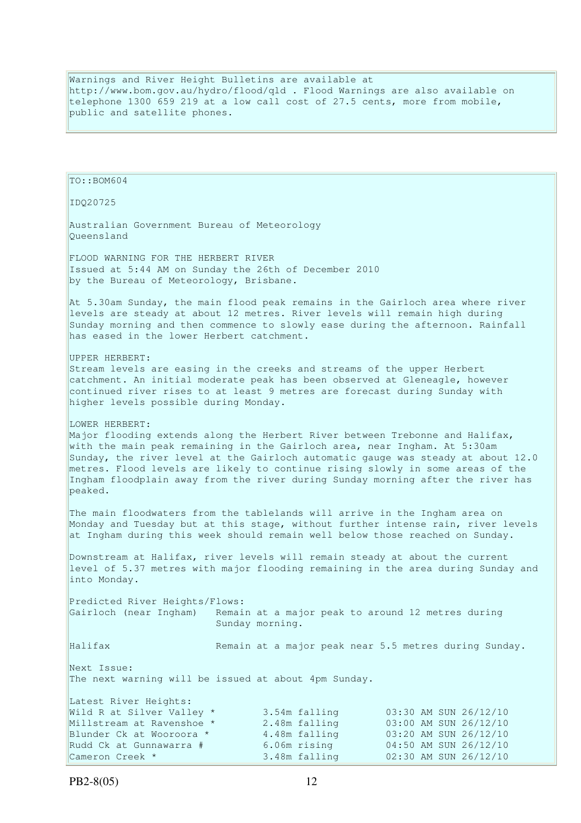Warnings and River Height Bulletins are available at http://www.bom.gov.au/hydro/flood/qld . Flood Warnings are also available on telephone 1300 659 219 at a low call cost of 27.5 cents, more from mobile, public and satellite phones.

```
TO::BOM604 
IDQ20725 
Australian Government Bureau of Meteorology 
Queensland 
FLOOD WARNING FOR THE HERBERT RIVER 
Issued at 5:44 AM on Sunday the 26th of December 2010 
by the Bureau of Meteorology, Brisbane.
At 5.30am Sunday, the main flood peak remains in the Gairloch area where river 
levels are steady at about 12 metres. River levels will remain high during 
Sunday morning and then commence to slowly ease during the afternoon. Rainfall
has eased in the lower Herbert catchment.
UPPER HERBERT: 
Stream levels are easing in the creeks and streams of the upper Herbert 
catchment. An initial moderate peak has been observed at Gleneagle, however 
continued river rises to at least 9 metres are forecast during Sunday with 
higher levels possible during Monday. 
LOWER HERBERT:
Major flooding extends along the Herbert River between Trebonne and Halifax,
with the main peak remaining in the Gairloch area, near Ingham. At 5:30am
Sunday, the river level at the Gairloch automatic gauge was steady at about 12.0 
metres. Flood levels are likely to continue rising slowly in some areas of the 
Ingham floodplain away from the river during Sunday morning after the river has 
peaked. 
The main floodwaters from the tablelands will arrive in the Ingham area on
Monday and Tuesday but at this stage, without further intense rain, river levels 
at Ingham during this week should remain well below those reached on Sunday. 
Downstream at Halifax, river levels will remain steady at about the current 
level of 5.37 metres with major flooding remaining in the area during Sunday and 
into Monday. 
Predicted River Heights/Flows: 
Gairloch (near Ingham) Remain at a major peak to around 12 metres during 
                          Sunday morning. 
Halifax Remain at a major peak near 5.5 metres during Sunday.
Next Issue: 
The next warning will be issued at about 4pm Sunday. 
Latest River Heights:
Wild R at Silver Valley * 3.54m falling 03:30 AM SUN 26/12/10
Millstream at Ravenshoe * 2.48m falling 03:00 AM SUN 26/12/10<br>Blunder Ck at Wooroora * 4.48m falling 03:20 AM SUN 26/12/10
Blunder Ck at Wooroora * 4.48m falling 03:20 AM SUN 26/12/10 
Rudd Ck at Gunnawarra # 6.06m rising 04:50 AM SUN 26/12/10 
Cameron Creek * 3.48m falling 02:30 AM SUN 26/12/10
```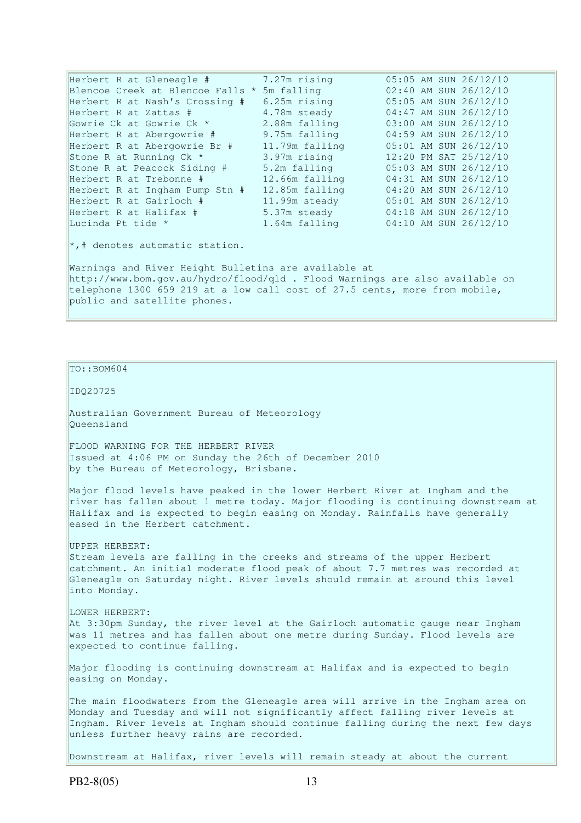| Herbert R at Gleneagle #         | 7.27m rising   |  | 05:05 AM SUN 26/12/10 |
|----------------------------------|----------------|--|-----------------------|
| Blencoe Creek at Blencoe Falls * | 5m falling     |  | 02:40 AM SUN 26/12/10 |
| Herbert R at Nash's Crossing #   | 6.25m rising   |  | 05:05 AM SUN 26/12/10 |
| Herbert R at Zattas #            | 4.78m steady   |  | 04:47 AM SUN 26/12/10 |
| Gowrie Ck at Gowrie Ck *         | 2.88m falling  |  | 03:00 AM SUN 26/12/10 |
| Herbert R at Abergowrie #        | 9.75m falling  |  | 04:59 AM SUN 26/12/10 |
| Herbert R at Abergowrie Br #     | 11.79m falling |  | 05:01 AM SUN 26/12/10 |
| Stone R at Running Ck *          | 3.97m rising   |  | 12:20 PM SAT 25/12/10 |
| Stone R at Peacock Siding #      | 5.2m falling   |  | 05:03 AM SUN 26/12/10 |
| Herbert R at Trebonne #          | 12.66m falling |  | 04:31 AM SUN 26/12/10 |
| Herbert R at Ingham Pump Stn #   | 12.85m falling |  | 04:20 AM SUN 26/12/10 |
| Herbert R at Gairloch #          | 11.99m steady  |  | 05:01 AM SUN 26/12/10 |
| Herbert R at Halifax #           | 5.37m steady   |  | 04:18 AM SUN 26/12/10 |
| Lucinda Pt tide *                | 1.64m falling  |  | 04:10 AM SUN 26/12/10 |

 $\star$ ,# denotes automatic station.

Warnings and River Height Bulletins are available at http://www.bom.gov.au/hydro/flood/qld . Flood Warnings are also available on telephone 1300 659 219 at a low call cost of 27.5 cents, more from mobile, public and satellite phones.

### TO::BOM604

#### IDQ20725

Australian Government Bureau of Meteorology Queensland

FLOOD WARNING FOR THE HERBERT RIVER Issued at 4:06 PM on Sunday the 26th of December 2010 by the Bureau of Meteorology, Brisbane.

Major flood levels have peaked in the lower Herbert River at Ingham and the river has fallen about 1 metre today. Major flooding is continuing downstream at Halifax and is expected to begin easing on Monday. Rainfalls have generally eased in the Herbert catchment.

#### UPPER HERBERT:

Stream levels are falling in the creeks and streams of the upper Herbert catchment. An initial moderate flood peak of about 7.7 metres was recorded at Gleneagle on Saturday night. River levels should remain at around this level into Monday.

### LOWER HERBERT:

At 3:30pm Sunday, the river level at the Gairloch automatic gauge near Ingham was 11 metres and has fallen about one metre during Sunday. Flood levels are expected to continue falling.

Major flooding is continuing downstream at Halifax and is expected to begin easing on Monday.

The main floodwaters from the Gleneagle area will arrive in the Ingham area on Monday and Tuesday and will not significantly affect falling river levels at Ingham. River levels at Ingham should continue falling during the next few days unless further heavy rains are recorded.

Downstream at Halifax, river levels will remain steady at about the current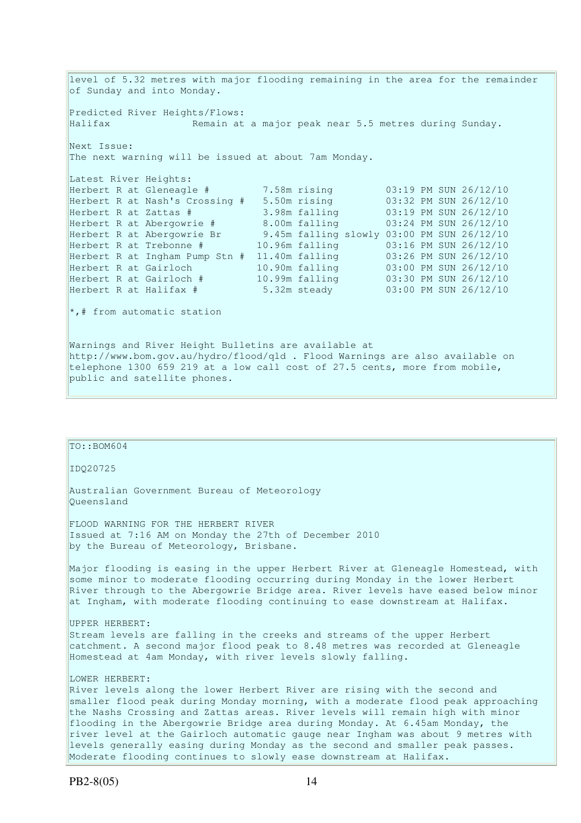level of 5.32 metres with major flooding remaining in the area for the remainder of Sunday and into Monday. Predicted River Heights/Flows: Halifax Remain at a major peak near 5.5 metres during Sunday. Next Issue: The next warning will be issued at about 7am Monday. Latest River Heights: Herbert R at Gleneagle # 7.58m rising 03:19 PM SUN 26/12/10<br>Herbert R at Nash's Crossing # 5.50m rising 03:32 PM SUN 26/12/10 Herbert R at Nash's Crossing # 5.50m rising 03:32 PM SUN 26/12/10 Herbert R at Zattas # 3.98m falling 03:19 PM SUN 26/12/10 Herbert R at Abergowrie # 8.00m falling 03:24 PM SUN 26/12/10 Herbert R at Abergowrie Br 9.45m falling slowly 03:00 PM SUN 26/12/10 Herbert R at Trebonne # 10.96m falling 03:16 PM SUN 26/12/10 Herbert R at Ingham Pump Stn # 11.40m falling 03:26 PM SUN 26/12/10 Herbert R at Gairloch 10.90m falling 03:00 PM SUN 26/12/10 Herbert R at Gairloch # 10.99m falling 03:30 PM SUN 26/12/10 Herbert R at Halifax # 5.32m steady 03:00 PM SUN 26/12/10  $*$ , # from automatic station Warnings and River Height Bulletins are available at http://www.bom.gov.au/hydro/flood/qld . Flood Warnings are also available on telephone 1300 659 219 at a low call cost of 27.5 cents, more from mobile, public and satellite phones.

| TO::BOM604                                                                                                                                                                                                                                                                                                                                                                                                                                                                                                                                                                              |
|-----------------------------------------------------------------------------------------------------------------------------------------------------------------------------------------------------------------------------------------------------------------------------------------------------------------------------------------------------------------------------------------------------------------------------------------------------------------------------------------------------------------------------------------------------------------------------------------|
| ID020725                                                                                                                                                                                                                                                                                                                                                                                                                                                                                                                                                                                |
| Australian Government Bureau of Meteorology<br>Oueensland                                                                                                                                                                                                                                                                                                                                                                                                                                                                                                                               |
| FLOOD WARNING FOR THE HERBERT RIVER<br>Issued at 7:16 AM on Monday the 27th of December 2010<br>by the Bureau of Meteorology, Brisbane.                                                                                                                                                                                                                                                                                                                                                                                                                                                 |
| Major flooding is easing in the upper Herbert River at Gleneagle Homestead, with<br>some minor to moderate flooding occurring during Monday in the lower Herbert<br>River through to the Abergowrie Bridge area. River levels have eased below minor<br>at Ingham, with moderate flooding continuing to ease downstream at Halifax.                                                                                                                                                                                                                                                     |
| UPPER HERBERT:<br>Stream levels are falling in the creeks and streams of the upper Herbert<br>catchment. A second major flood peak to 8.48 metres was recorded at Gleneagle<br>Homestead at 4am Monday, with river levels slowly falling.                                                                                                                                                                                                                                                                                                                                               |
| LOWER HERBERT:<br>River levels along the lower Herbert River are rising with the second and<br>smaller flood peak during Monday morning, with a moderate flood peak approaching<br>the Nashs Crossing and Zattas areas. River levels will remain high with minor<br>flooding in the Abergowrie Bridge area during Monday. At 6.45am Monday, the<br>river level at the Gairloch automatic gauge near Ingham was about 9 metres with<br>levels generally easing during Monday as the second and smaller peak passes.<br>Moderate flooding continues to slowly ease downstream at Halifax. |
|                                                                                                                                                                                                                                                                                                                                                                                                                                                                                                                                                                                         |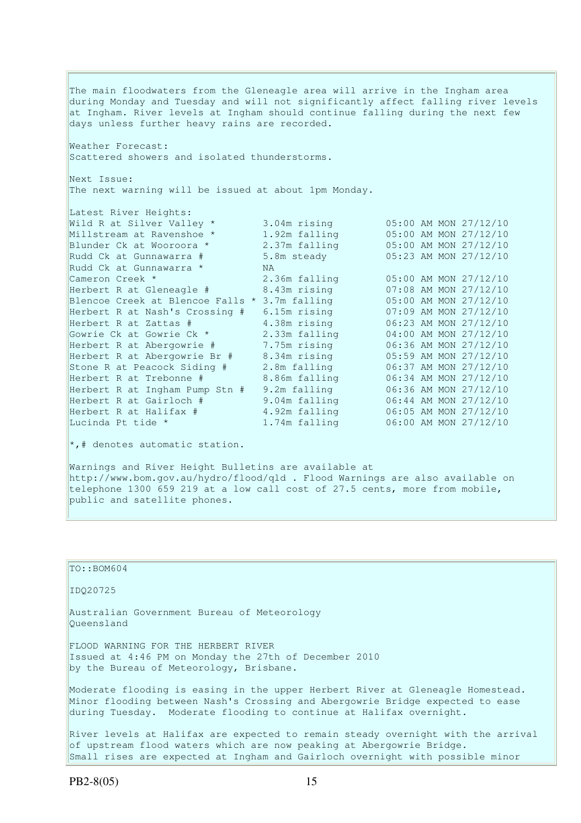The main floodwaters from the Gleneagle area will arrive in the Ingham area during Monday and Tuesday and will not significantly affect falling river levels at Ingham. River levels at Ingham should continue falling during the next few days unless further heavy rains are recorded. Weather Forecast: Scattered showers and isolated thunderstorms. Next Issue: The next warning will be issued at about 1pm Monday. Latest River Heights: Wild R at Silver Valley \* 3.04m rising 05:00 AM MON 27/12/10 Millstream at Ravenshoe \* 1.92m falling 05:00 AM MON 27/12/10 Blunder Ck at Wooroora \* 2.37m falling 05:00 AM MON 27/12/10 Rudd Ck at Gunnawarra # 5.8m steady 05:23 AM MON 27/12/10 Rudd Ck at Gunnawarra \* NA Cameron Creek \* 2.36m falling 05:00 AM MON 27/12/10 Herbert R at Gleneagle # 8.43m rising 07:08 AM MON 27/12/10 Blencoe Creek at Blencoe Falls \* 3.7m falling 05:00 AM MON 27/12/10 Herbert R at Nash's Crossing # 6.15m rising 07:09 AM MON 27/12/10 Herbert R at Zattas # 4.38m rising 06:23 AM MON 27/12/10 Gowrie Ck at Gowrie Ck \* 2.33m falling 04:00 AM MON 27/12/10 Herbert R at Abergowrie # 7.75m rising 06:36 AM MON 27/12/10 Herbert R at Abergowrie Br # 8.34m rising 05:59 AM MON 27/12/10 Stone R at Peacock Siding # 2.8m falling 06:37 AM MON 27/12/10 Herbert R at Trebonne # 8.86m falling 06:34 AM MON 27/12/10 Herbert R at Ingham Pump Stn # 9.2m falling 06:36 AM MON 27/12/10 Herbert R at Gairloch # 9.04m falling 06:44 AM MON 27/12/10 Herbert R at Halifax # 4.92m falling 06:05 AM MON 27/12/10 Lucinda Pt tide \* 1.74m falling 06:00 AM MON 27/12/10 \*,# denotes automatic station. Warnings and River Height Bulletins are available at

http://www.bom.gov.au/hydro/flood/qld . Flood Warnings are also available on telephone 1300 659 219 at a low call cost of 27.5 cents, more from mobile, public and satellite phones.

 $TO:$ : BOM604 IDQ20725 Australian Government Bureau of Meteorology Queensland FLOOD WARNING FOR THE HERBERT RIVER Issued at 4:46 PM on Monday the 27th of December 2010 by the Bureau of Meteorology, Brisbane. Moderate flooding is easing in the upper Herbert River at Gleneagle Homestead. Minor flooding between Nash's Crossing and Abergowrie Bridge expected to ease during Tuesday. Moderate flooding to continue at Halifax overnight. River levels at Halifax are expected to remain steady overnight with the arrival of upstream flood waters which are now peaking at Abergowrie Bridge.

Small rises are expected at Ingham and Gairloch overnight with possible minor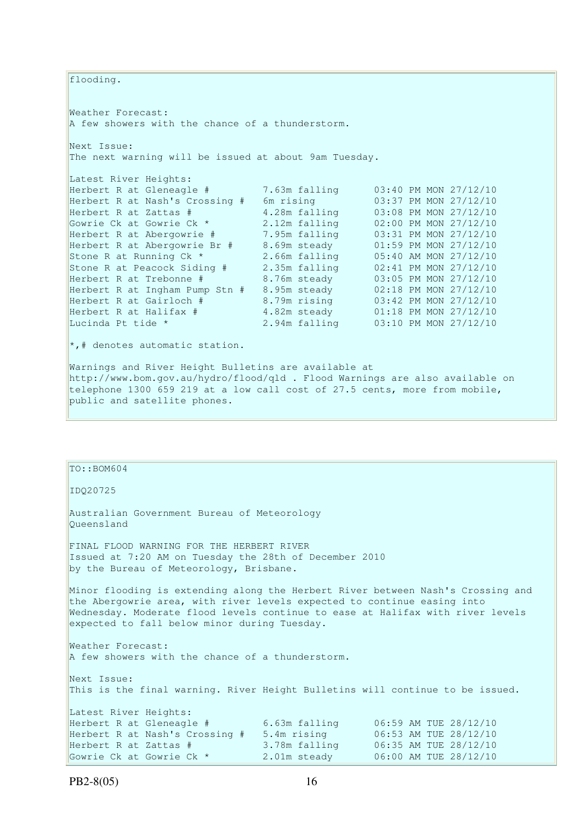flooding.

Weather Forecast: A few showers with the chance of a thunderstorm. Next Issue:

The next warning will be issued at about 9am Tuesday.

| Latest River Heights:          |               |                       |
|--------------------------------|---------------|-----------------------|
| Herbert R at Gleneagle #       | 7.63m falling | 03:40 PM MON 27/12/10 |
| Herbert R at Nash's Crossing # | 6m rising     | 03:37 PM MON 27/12/10 |
| Herbert R at Zattas #          | 4.28m falling | 03:08 PM MON 27/12/10 |
| Gowrie Ck at Gowrie Ck *       | 2.12m falling | 02:00 PM MON 27/12/10 |
| Herbert R at Abergowrie #      | 7.95m falling | 03:31 PM MON 27/12/10 |
| Herbert R at Abergowrie Br #   | 8.69m steady  | 01:59 PM MON 27/12/10 |
| Stone R at Running Ck *        | 2.66m falling | 05:40 AM MON 27/12/10 |
| Stone R at Peacock Siding #    | 2.35m falling | 02:41 PM MON 27/12/10 |
| Herbert R at Trebonne #        | 8.76m steady  | 03:05 PM MON 27/12/10 |
| Herbert R at Ingham Pump Stn # | 8.95m steady  | 02:18 PM MON 27/12/10 |
| Herbert R at Gairloch #        | 8.79m rising  | 03:42 PM MON 27/12/10 |
| Herbert R at Halifax #         | 4.82m steady  | 01:18 PM MON 27/12/10 |
| Lucinda Pt tide *              | 2.94m falling | 03:10 PM MON 27/12/10 |

 $\left|*,\right|$  denotes automatic station.

Warnings and River Height Bulletins are available at http://www.bom.gov.au/hydro/flood/qld . Flood Warnings are also available on telephone 1300 659 219 at a low call cost of 27.5 cents, more from mobile, public and satellite phones.

| $TO: BOM604$                                                                                                                                                                                                                                                                                               |  |  |  |  |
|------------------------------------------------------------------------------------------------------------------------------------------------------------------------------------------------------------------------------------------------------------------------------------------------------------|--|--|--|--|
| ID020725                                                                                                                                                                                                                                                                                                   |  |  |  |  |
| Australian Government Bureau of Meteorology<br>Oueensland                                                                                                                                                                                                                                                  |  |  |  |  |
| FINAL FLOOD WARNING FOR THE HERBERT RIVER<br>Issued at 7:20 AM on Tuesday the 28th of December 2010<br>by the Bureau of Meteorology, Brisbane.                                                                                                                                                             |  |  |  |  |
| Minor flooding is extending along the Herbert River between Nash's Crossing and<br>the Abergowrie area, with river levels expected to continue easing into<br>Wednesday. Moderate flood levels continue to ease at Halifax with river levels<br>expected to fall below minor during Tuesday.               |  |  |  |  |
| Weather Forecast:<br>A few showers with the chance of a thunderstorm.                                                                                                                                                                                                                                      |  |  |  |  |
| Next Issue:<br>This is the final warning. River Height Bulletins will continue to be issued.                                                                                                                                                                                                               |  |  |  |  |
| Latest River Heights:<br>Herbert R at Gleneagle #<br>6.63m falling<br>06:59 AM TUE 28/12/10<br>Herbert R at Nash's Crossing # 5.4m rising<br>06:53 AM TUE 28/12/10<br>3.78m falling<br>06:35 AM TUE 28/12/10<br>Herbert R at Zattas #<br>2.01m steady<br>06:00 AM TUE 28/12/10<br>Gowrie Ck at Gowrie Ck * |  |  |  |  |